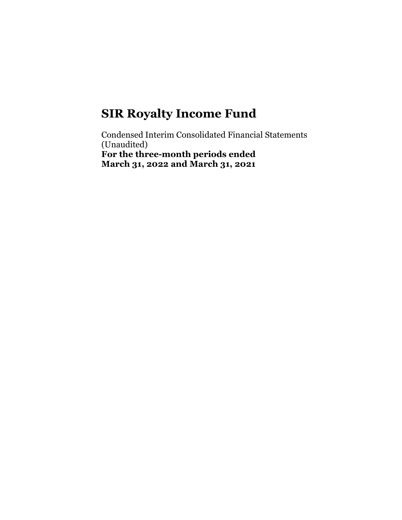Condensed Interim Consolidated Financial Statements (Unaudited) For the three-month periods ended March 31, 2022 and March 31, 2021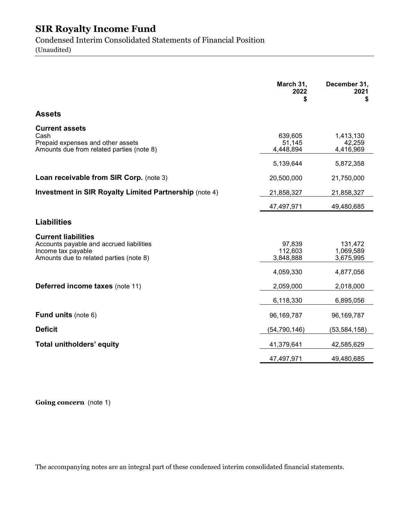Condensed Interim Consolidated Statements of Financial Position (Unaudited)

|                                                                                                                                         | March 31,<br>2022<br>\$        | December 31,<br>2021<br>\$        |
|-----------------------------------------------------------------------------------------------------------------------------------------|--------------------------------|-----------------------------------|
| <b>Assets</b>                                                                                                                           |                                |                                   |
| <b>Current assets</b><br>Cash<br>Prepaid expenses and other assets<br>Amounts due from related parties (note 8)                         | 639,605<br>51,145<br>4,448,894 | 1,413,130<br>42,259<br>4,416,969  |
|                                                                                                                                         | 5,139,644                      | 5,872,358                         |
| Loan receivable from SIR Corp. (note 3)                                                                                                 | 20,500,000                     | 21,750,000                        |
| <b>Investment in SIR Royalty Limited Partnership (note 4)</b>                                                                           | 21,858,327                     | 21,858,327                        |
|                                                                                                                                         | 47,497,971                     | 49,480,685                        |
| <b>Liabilities</b>                                                                                                                      |                                |                                   |
| <b>Current liabilities</b><br>Accounts payable and accrued liabilities<br>Income tax payable<br>Amounts due to related parties (note 8) | 97,839<br>112,603<br>3,848,888 | 131,472<br>1,069,589<br>3,675,995 |
|                                                                                                                                         | 4,059,330                      | 4,877,056                         |
| Deferred income taxes (note 11)                                                                                                         | 2,059,000                      | 2,018,000                         |
|                                                                                                                                         | 6,118,330                      | 6,895,056                         |
| <b>Fund units (note 6)</b>                                                                                                              | 96,169,787                     | 96,169,787                        |
| <b>Deficit</b>                                                                                                                          | (54, 790, 146)                 | (53, 584, 158)                    |
| Total unitholders' equity                                                                                                               | 41,379,641                     | 42,585,629                        |
|                                                                                                                                         | 47,497,971                     | 49,480,685                        |

Going concern (note 1)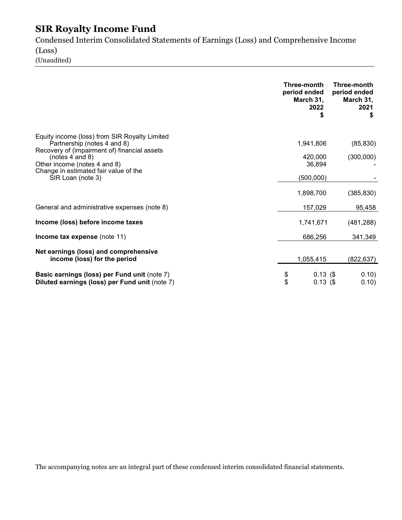Condensed Interim Consolidated Statements of Earnings (Loss) and Comprehensive Income (Loss)

(Unaudited)

|                                                                                                                                                                                      |          | Three-month<br>period ended<br>March 31,<br>2022<br>S | Three-month<br>period ended<br>March 31,<br>2021<br>S |
|--------------------------------------------------------------------------------------------------------------------------------------------------------------------------------------|----------|-------------------------------------------------------|-------------------------------------------------------|
| Equity income (loss) from SIR Royalty Limited<br>Partnership (notes 4 and 8)<br>Recovery of (impairment of) financial assets<br>(notes $4$ and $8$ )<br>Other income (notes 4 and 8) |          | 1,941,806<br>420,000<br>36,894                        | (85, 830)<br>(300,000)                                |
| Change in estimated fair value of the<br>SIR Loan (note 3)                                                                                                                           |          | (500,000)<br>1,898,700                                | (385, 830)                                            |
| General and administrative expenses (note 8)                                                                                                                                         |          | 157,029                                               | 95,458                                                |
| Income (loss) before income taxes                                                                                                                                                    |          | 1,741,671                                             | (481, 288)                                            |
| Income tax expense (note 11)                                                                                                                                                         |          | 686,256                                               | 341,349                                               |
| Net earnings (loss) and comprehensive<br>income (loss) for the period                                                                                                                |          | 1,055,415                                             | (822, 637)                                            |
| Basic earnings (loss) per Fund unit (note 7)<br>Diluted earnings (loss) per Fund unit (note 7)                                                                                       | \$<br>\$ | 0.13(<br>0.13(                                        | 0.10)<br>0.10)                                        |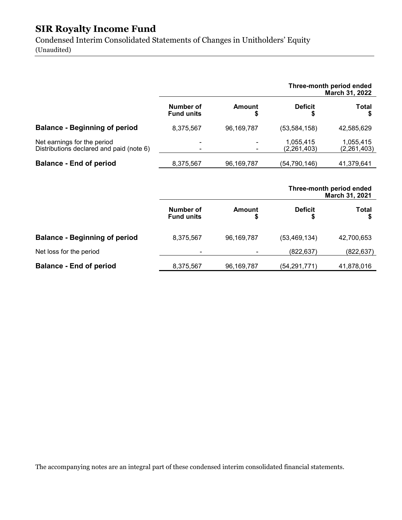Condensed Interim Consolidated Statements of Changes in Unitholders' Equity (Unaudited)

|                                                                         |                                |              |                          | Three-month period ended<br>March 31, 2022 |
|-------------------------------------------------------------------------|--------------------------------|--------------|--------------------------|--------------------------------------------|
|                                                                         | Number of<br><b>Fund units</b> | Amount<br>\$ | <b>Deficit</b>           | <b>Total</b>                               |
| <b>Balance - Beginning of period</b>                                    | 8,375,567                      | 96,169,787   | (53, 584, 158)           | 42,585,629                                 |
| Net earnings for the period<br>Distributions declared and paid (note 6) | ۰<br>$\blacksquare$            |              | 1,055,415<br>(2,261,403) | 1,055,415<br>(2, 261, 403)                 |
| <b>Balance - End of period</b>                                          | 8,375,567                      | 96,169,787   | (54,790,146)             | 41,379,641                                 |
|                                                                         |                                |              |                          | Three-month period ended                   |

|                                      |                                |            |                | March 31, 2021 |
|--------------------------------------|--------------------------------|------------|----------------|----------------|
|                                      | Number of<br><b>Fund units</b> | Amount     | <b>Deficit</b> | Total          |
| <b>Balance - Beginning of period</b> | 8,375,567                      | 96,169,787 | (53, 469, 134) | 42,700,653     |
| Net loss for the period              | ۰                              |            | (822, 637)     | (822, 637)     |
| <b>Balance - End of period</b>       | 8,375,567                      | 96,169,787 | (54, 291, 771) | 41,878,016     |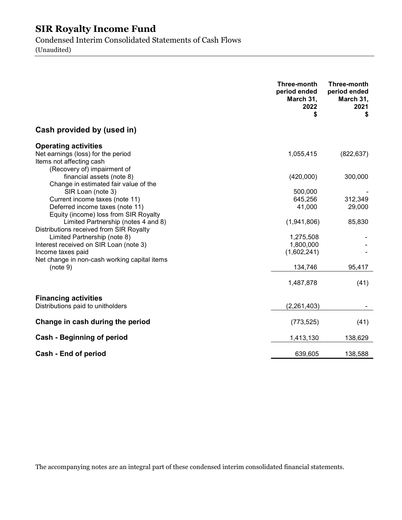Condensed Interim Consolidated Statements of Cash Flows (Unaudited)

|                                                                                               | Three-month<br>period ended<br>March 31,<br>2022<br>\$ | Three-month<br>period ended<br>March 31,<br>2021<br>\$ |
|-----------------------------------------------------------------------------------------------|--------------------------------------------------------|--------------------------------------------------------|
| Cash provided by (used in)                                                                    |                                                        |                                                        |
| <b>Operating activities</b>                                                                   |                                                        |                                                        |
| Net earnings (loss) for the period<br>Items not affecting cash<br>(Recovery of) impairment of | 1,055,415                                              | (822, 637)                                             |
| financial assets (note 8)<br>Change in estimated fair value of the                            | (420,000)                                              | 300,000                                                |
| SIR Loan (note 3)                                                                             | 500,000                                                |                                                        |
| Current income taxes (note 11)                                                                | 645,256                                                | 312,349                                                |
| Deferred income taxes (note 11)<br>Equity (income) loss from SIR Royalty                      | 41,000                                                 | 29,000                                                 |
| Limited Partnership (notes 4 and 8)<br>Distributions received from SIR Royalty                | (1,941,806)                                            | 85,830                                                 |
| Limited Partnership (note 8)                                                                  | 1,275,508                                              |                                                        |
| Interest received on SIR Loan (note 3)                                                        | 1,800,000                                              |                                                        |
| Income taxes paid                                                                             | (1,602,241)                                            |                                                        |
| Net change in non-cash working capital items                                                  |                                                        |                                                        |
| (note 9)                                                                                      | 134,746                                                | 95,417                                                 |
|                                                                                               | 1,487,878                                              | (41)                                                   |
| <b>Financing activities</b>                                                                   |                                                        |                                                        |
| Distributions paid to unitholders                                                             | (2, 261, 403)                                          |                                                        |
| Change in cash during the period                                                              | (773, 525)                                             | (41)                                                   |
| Cash - Beginning of period                                                                    | 1,413,130                                              | 138,629                                                |
| Cash - End of period                                                                          | 639,605                                                | 138,588                                                |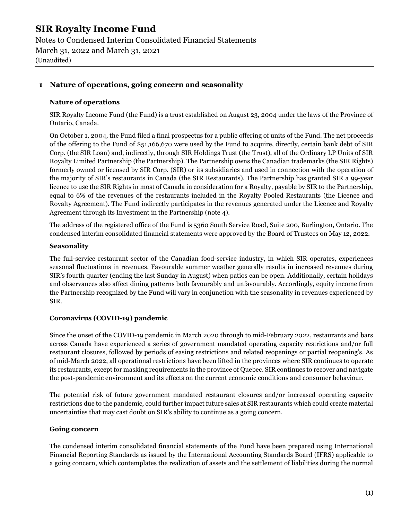Notes to Condensed Interim Consolidated Financial Statements March 31, 2022 and March 31, 2021 (Unaudited)

#### 1 Nature of operations, going concern and seasonality

#### Nature of operations

SIR Royalty Income Fund (the Fund) is a trust established on August 23, 2004 under the laws of the Province of Ontario, Canada.

On October 1, 2004, the Fund filed a final prospectus for a public offering of units of the Fund. The net proceeds of the offering to the Fund of \$51,166,670 were used by the Fund to acquire, directly, certain bank debt of SIR Corp. (the SIR Loan) and, indirectly, through SIR Holdings Trust (the Trust), all of the Ordinary LP Units of SIR Royalty Limited Partnership (the Partnership). The Partnership owns the Canadian trademarks (the SIR Rights) formerly owned or licensed by SIR Corp. (SIR) or its subsidiaries and used in connection with the operation of the majority of SIR's restaurants in Canada (the SIR Restaurants). The Partnership has granted SIR a 99-year licence to use the SIR Rights in most of Canada in consideration for a Royalty, payable by SIR to the Partnership, equal to 6% of the revenues of the restaurants included in the Royalty Pooled Restaurants (the Licence and Royalty Agreement). The Fund indirectly participates in the revenues generated under the Licence and Royalty Agreement through its Investment in the Partnership (note 4).

The address of the registered office of the Fund is 5360 South Service Road, Suite 200, Burlington, Ontario. The condensed interim consolidated financial statements were approved by the Board of Trustees on May 12, 2022.

#### **Seasonality**

The full-service restaurant sector of the Canadian food-service industry, in which SIR operates, experiences seasonal fluctuations in revenues. Favourable summer weather generally results in increased revenues during SIR's fourth quarter (ending the last Sunday in August) when patios can be open. Additionally, certain holidays and observances also affect dining patterns both favourably and unfavourably. Accordingly, equity income from the Partnership recognized by the Fund will vary in conjunction with the seasonality in revenues experienced by SIR.

#### Coronavirus (COVID-19) pandemic

Since the onset of the COVID-19 pandemic in March 2020 through to mid-February 2022, restaurants and bars across Canada have experienced a series of government mandated operating capacity restrictions and/or full restaurant closures, followed by periods of easing restrictions and related reopenings or partial reopening's. As of mid-March 2022, all operational restrictions have been lifted in the provinces where SIR continues to operate its restaurants, except for masking requirements in the province of Quebec. SIR continues to recover and navigate the post-pandemic environment and its effects on the current economic conditions and consumer behaviour.

The potential risk of future government mandated restaurant closures and/or increased operating capacity restrictions due to the pandemic, could further impact future sales at SIR restaurants which could create material uncertainties that may cast doubt on SIR's ability to continue as a going concern.

#### Going concern

The condensed interim consolidated financial statements of the Fund have been prepared using International Financial Reporting Standards as issued by the International Accounting Standards Board (IFRS) applicable to a going concern, which contemplates the realization of assets and the settlement of liabilities during the normal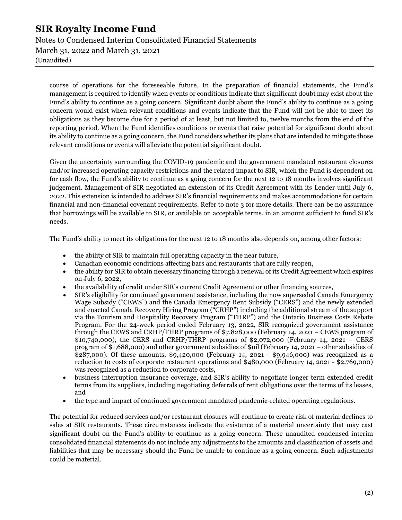Notes to Condensed Interim Consolidated Financial Statements March 31, 2022 and March 31, 2021 (Unaudited)

course of operations for the foreseeable future. In the preparation of financial statements, the Fund's management is required to identify when events or conditions indicate that significant doubt may exist about the Fund's ability to continue as a going concern. Significant doubt about the Fund's ability to continue as a going concern would exist when relevant conditions and events indicate that the Fund will not be able to meet its obligations as they become due for a period of at least, but not limited to, twelve months from the end of the reporting period. When the Fund identifies conditions or events that raise potential for significant doubt about its ability to continue as a going concern, the Fund considers whether its plans that are intended to mitigate those relevant conditions or events will alleviate the potential significant doubt.

Given the uncertainty surrounding the COVID-19 pandemic and the government mandated restaurant closures and/or increased operating capacity restrictions and the related impact to SIR, which the Fund is dependent on for cash flow, the Fund's ability to continue as a going concern for the next 12 to 18 months involves significant judgement. Management of SIR negotiated an extension of its Credit Agreement with its Lender until July 6, 2022. This extension is intended to address SIR's financial requirements and makes accommodations for certain financial and non-financial covenant requirements. Refer to note 3 for more details. There can be no assurance that borrowings will be available to SIR, or available on acceptable terms, in an amount sufficient to fund SIR's needs.

The Fund's ability to meet its obligations for the next 12 to 18 months also depends on, among other factors:

- the ability of SIR to maintain full operating capacity in the near future,
- Canadian economic conditions affecting bars and restaurants that are fully reopen,
- the ability for SIR to obtain necessary financing through a renewal of its Credit Agreement which expires on July 6, 2022,
- the availability of credit under SIR's current Credit Agreement or other financing sources,
- SIR's eligibility for continued government assistance, including the now superseded Canada Emergency Wage Subsidy ("CEWS") and the Canada Emergency Rent Subsidy ("CERS") and the newly extended and enacted Canada Recovery Hiring Program ("CRHP") including the additional stream of the support via the Tourism and Hospitality Recovery Program ("THRP") and the Ontario Business Costs Rebate Program. For the 24-week period ended February 13, 2022, SIR recognized government assistance through the CEWS and CRHP/THRP programs of \$7,828,000 (February 14, 2021 – CEWS program of \$10,740,000), the CERS and CRHP/THRP programs of \$2,072,000 (February 14, 2021 – CERS program of \$1,688,000) and other government subsidies of \$nil (February 14, 2021 – other subsidies of \$287,000). Of these amounts, \$9,420,000 (February 14, 2021 - \$9,946,000) was recognized as a reduction to costs of corporate restaurant operations and \$480,000 (February 14, 2021 - \$2,769,000) was recognized as a reduction to corporate costs,
- business interruption insurance coverage, and SIR's ability to negotiate longer term extended credit terms from its suppliers, including negotiating deferrals of rent obligations over the terms of its leases, and
- the type and impact of continued government mandated pandemic-related operating regulations.

The potential for reduced services and/or restaurant closures will continue to create risk of material declines to sales at SIR restaurants. These circumstances indicate the existence of a material uncertainty that may cast significant doubt on the Fund's ability to continue as a going concern. These unaudited condensed interim consolidated financial statements do not include any adjustments to the amounts and classification of assets and liabilities that may be necessary should the Fund be unable to continue as a going concern. Such adjustments could be material.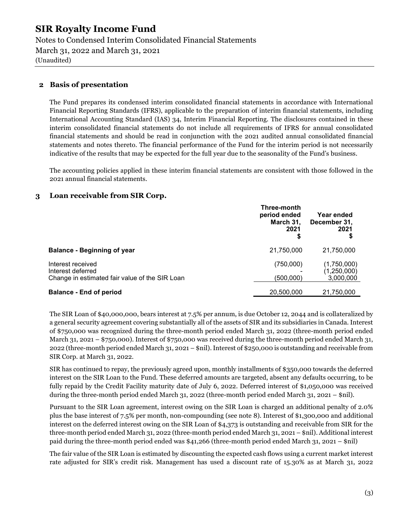Notes to Condensed Interim Consolidated Financial Statements March 31, 2022 and March 31, 2021 (Unaudited)

#### 2 Basis of presentation

The Fund prepares its condensed interim consolidated financial statements in accordance with International Financial Reporting Standards (IFRS), applicable to the preparation of interim financial statements, including International Accounting Standard (IAS) 34, Interim Financial Reporting. The disclosures contained in these interim consolidated financial statements do not include all requirements of IFRS for annual consolidated financial statements and should be read in conjunction with the 2021 audited annual consolidated financial statements and notes thereto. The financial performance of the Fund for the interim period is not necessarily indicative of the results that may be expected for the full year due to the seasonality of the Fund's business.

The accounting policies applied in these interim financial statements are consistent with those followed in the 2021 annual financial statements.

#### 3 Loan receivable from SIR Corp.

|                                                                                          | Three-month<br>period ended<br>March 31,<br>2021<br>Ş | Year ended<br>December 31,<br>2021      |
|------------------------------------------------------------------------------------------|-------------------------------------------------------|-----------------------------------------|
| <b>Balance - Beginning of year</b>                                                       | 21,750,000                                            | 21,750,000                              |
| Interest received<br>Interest deferred<br>Change in estimated fair value of the SIR Loan | (750,000)<br>(500,000)                                | (1,750,000)<br>(1,250,000)<br>3,000,000 |
| <b>Balance - End of period</b>                                                           | 20,500,000                                            | 21,750,000                              |

The SIR Loan of \$40,000,000, bears interest at 7.5% per annum, is due October 12, 2044 and is collateralized by a general security agreement covering substantially all of the assets of SIR and its subsidiaries in Canada. Interest of \$750,000 was recognized during the three-month period ended March 31, 2022 (three-month period ended March 31, 2021 – \$750,000). Interest of \$750,000 was received during the three-month period ended March 31, 2022 (three-month period ended March 31, 2021 – \$nil). Interest of \$250,000 is outstanding and receivable from SIR Corp. at March 31, 2022.

SIR has continued to repay, the previously agreed upon, monthly installments of \$350,000 towards the deferred interest on the SIR Loan to the Fund. These deferred amounts are targeted, absent any defaults occurring, to be fully repaid by the Credit Facility maturity date of July 6, 2022. Deferred interest of \$1,050,000 was received during the three-month period ended March 31, 2022 (three-month period ended March 31, 2021 – \$nil).

Pursuant to the SIR Loan agreement, interest owing on the SIR Loan is charged an additional penalty of 2.0% plus the base interest of 7.5% per month, non-compounding (see note 8). Interest of \$1,300,000 and additional interest on the deferred interest owing on the SIR Loan of \$4,373 is outstanding and receivable from SIR for the three-month period ended March 31, 2022 (three-month period ended March 31, 2021 – \$nil). Additional interest paid during the three-month period ended was \$41,266 (three-month period ended March 31, 2021 – \$nil)

The fair value of the SIR Loan is estimated by discounting the expected cash flows using a current market interest rate adjusted for SIR's credit risk. Management has used a discount rate of 15.30% as at March 31, 2022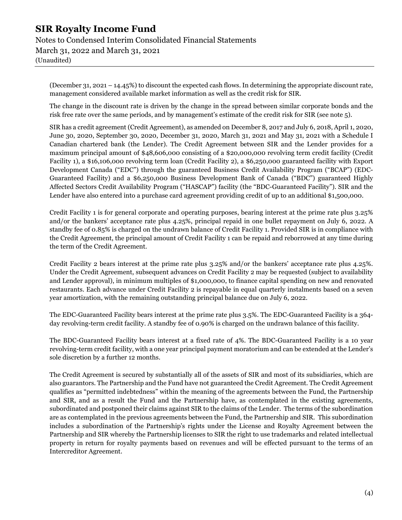Notes to Condensed Interim Consolidated Financial Statements March 31, 2022 and March 31, 2021 (Unaudited)

(December 31, 2021 – 14.45%) to discount the expected cash flows. In determining the appropriate discount rate, management considered available market information as well as the credit risk for SIR.

The change in the discount rate is driven by the change in the spread between similar corporate bonds and the risk free rate over the same periods, and by management's estimate of the credit risk for SIR (see note 5).

SIR has a credit agreement (Credit Agreement), as amended on December 8, 2017 and July 6, 2018, April 1, 2020, June 30, 2020, September 30, 2020, December 31, 2020, March 31, 2021 and May 31, 2021 with a Schedule I Canadian chartered bank (the Lender). The Credit Agreement between SIR and the Lender provides for a maximum principal amount of \$48,606,000 consisting of a \$20,000,000 revolving term credit facility (Credit Facility 1), a \$16,106,000 revolving term loan (Credit Facility 2), a \$6,250,000 guaranteed facility with Export Development Canada ("EDC") through the guaranteed Business Credit Availability Program ("BCAP") (EDC-Guaranteed Facility) and a \$6,250,000 Business Development Bank of Canada ("BDC") guaranteed Highly Affected Sectors Credit Availability Program ("HASCAP") facility (the "BDC-Guaranteed Facility"). SIR and the Lender have also entered into a purchase card agreement providing credit of up to an additional \$1,500,000.

Credit Facility 1 is for general corporate and operating purposes, bearing interest at the prime rate plus 3.25% and/or the bankers' acceptance rate plus 4.25%, principal repaid in one bullet repayment on July 6, 2022. A standby fee of 0.85% is charged on the undrawn balance of Credit Facility 1. Provided SIR is in compliance with the Credit Agreement, the principal amount of Credit Facility 1 can be repaid and reborrowed at any time during the term of the Credit Agreement.

Credit Facility 2 bears interest at the prime rate plus 3.25% and/or the bankers' acceptance rate plus 4.25%. Under the Credit Agreement, subsequent advances on Credit Facility 2 may be requested (subject to availability and Lender approval), in minimum multiples of \$1,000,000, to finance capital spending on new and renovated restaurants. Each advance under Credit Facility 2 is repayable in equal quarterly instalments based on a seven year amortization, with the remaining outstanding principal balance due on July 6, 2022.

The EDC-Guaranteed Facility bears interest at the prime rate plus 3.5%. The EDC-Guaranteed Facility is a 364 day revolving-term credit facility. A standby fee of 0.90% is charged on the undrawn balance of this facility.

The BDC-Guaranteed Facility bears interest at a fixed rate of 4%. The BDC-Guaranteed Facility is a 10 year revolving-term credit facility, with a one year principal payment moratorium and can be extended at the Lender's sole discretion by a further 12 months.

The Credit Agreement is secured by substantially all of the assets of SIR and most of its subsidiaries, which are also guarantors. The Partnership and the Fund have not guaranteed the Credit Agreement. The Credit Agreement qualifies as "permitted indebtedness" within the meaning of the agreements between the Fund, the Partnership and SIR, and as a result the Fund and the Partnership have, as contemplated in the existing agreements, subordinated and postponed their claims against SIR to the claims of the Lender. The terms of the subordination are as contemplated in the previous agreements between the Fund, the Partnership and SIR. This subordination includes a subordination of the Partnership's rights under the License and Royalty Agreement between the Partnership and SIR whereby the Partnership licenses to SIR the right to use trademarks and related intellectual property in return for royalty payments based on revenues and will be effected pursuant to the terms of an Intercreditor Agreement.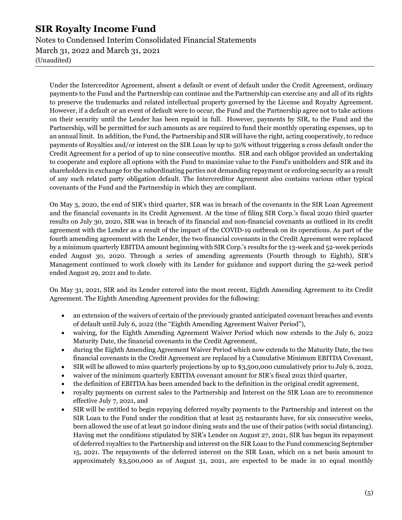Notes to Condensed Interim Consolidated Financial Statements March 31, 2022 and March 31, 2021 (Unaudited)

Under the Intercreditor Agreement, absent a default or event of default under the Credit Agreement, ordinary payments to the Fund and the Partnership can continue and the Partnership can exercise any and all of its rights to preserve the trademarks and related intellectual property governed by the License and Royalty Agreement. However, if a default or an event of default were to occur, the Fund and the Partnership agree not to take actions on their security until the Lender has been repaid in full. However, payments by SIR, to the Fund and the Partnership, will be permitted for such amounts as are required to fund their monthly operating expenses, up to an annual limit. In addition, the Fund, the Partnership and SIR will have the right, acting cooperatively, to reduce payments of Royalties and/or interest on the SIR Loan by up to 50% without triggering a cross default under the Credit Agreement for a period of up to nine consecutive months. SIR and each obligor provided an undertaking to cooperate and explore all options with the Fund to maximize value to the Fund's unitholders and SIR and its shareholders in exchange for the subordinating parties not demanding repayment or enforcing security as a result of any such related party obligation default. The Intercreditor Agreement also contains various other typical covenants of the Fund and the Partnership in which they are compliant.

On May 3, 2020, the end of SIR's third quarter, SIR was in breach of the covenants in the SIR Loan Agreement and the financial covenants in its Credit Agreement. At the time of filing SIR Corp.'s fiscal 2020 third quarter results on July 30, 2020, SIR was in breach of its financial and non-financial covenants as outlined in its credit agreement with the Lender as a result of the impact of the COVID-19 outbreak on its operations. As part of the fourth amending agreement with the Lender, the two financial covenants in the Credit Agreement were replaced by a minimum quarterly EBITDA amount beginning with SIR Corp.'s results for the 13-week and 52-week periods ended August 30, 2020. Through a series of amending agreements (Fourth through to Eighth), SIR's Management continued to work closely with its Lender for guidance and support during the 52-week period ended August 29, 2021 and to date.

On May 31, 2021, SIR and its Lender entered into the most recent, Eighth Amending Agreement to its Credit Agreement. The Eighth Amending Agreement provides for the following:

- an extension of the waivers of certain of the previously granted anticipated covenant breaches and events of default until July 6, 2022 (the "Eighth Amending Agreement Waiver Period"),
- waiving, for the Eighth Amending Agreement Waiver Period which now extends to the July 6, 2022 Maturity Date, the financial covenants in the Credit Agreement,
- during the Eighth Amending Agreement Waiver Period which now extends to the Maturity Date, the two financial covenants in the Credit Agreement are replaced by a Cumulative Minimum EBITDA Covenant,
- SIR will be allowed to miss quarterly projections by up to \$3,500,000 cumulatively prior to July 6, 2022,
- waiver of the minimum quarterly EBITDA covenant amount for SIR's fiscal 2021 third quarter,
- the definition of EBITDA has been amended back to the definition in the original credit agreement,
- royalty payments on current sales to the Partnership and Interest on the SIR Loan are to recommence effective July 7, 2021, and
- SIR will be entitled to begin repaying deferred royalty payments to the Partnership and interest on the SIR Loan to the Fund under the condition that at least 25 restaurants have, for six consecutive weeks, been allowed the use of at least 50 indoor dining seats and the use of their patios (with social distancing). Having met the conditions stipulated by SIR's Lender on August 27, 2021, SIR has begun its repayment of deferred royalties to the Partnership and interest on the SIR Loan to the Fund commencing September 15, 2021. The repayments of the deferred interest on the SIR Loan, which on a net basis amount to approximately \$3,500,000 as of August 31, 2021, are expected to be made in 10 equal monthly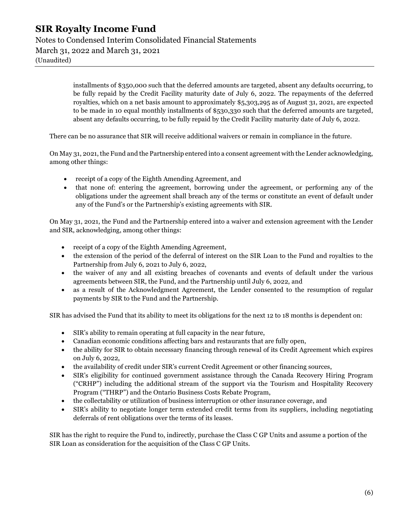Notes to Condensed Interim Consolidated Financial Statements March 31, 2022 and March 31, 2021 (Unaudited)

> installments of \$350,000 such that the deferred amounts are targeted, absent any defaults occurring, to be fully repaid by the Credit Facility maturity date of July 6, 2022. The repayments of the deferred royalties, which on a net basis amount to approximately \$5,303,295 as of August 31, 2021, are expected to be made in 10 equal monthly installments of \$530,330 such that the deferred amounts are targeted, absent any defaults occurring, to be fully repaid by the Credit Facility maturity date of July 6, 2022.

There can be no assurance that SIR will receive additional waivers or remain in compliance in the future.

On May 31, 2021, the Fund and the Partnership entered into a consent agreement with the Lender acknowledging, among other things:

- receipt of a copy of the Eighth Amending Agreement, and
- that none of: entering the agreement, borrowing under the agreement, or performing any of the obligations under the agreement shall breach any of the terms or constitute an event of default under any of the Fund's or the Partnership's existing agreements with SIR.

On May 31, 2021, the Fund and the Partnership entered into a waiver and extension agreement with the Lender and SIR, acknowledging, among other things:

- receipt of a copy of the Eighth Amending Agreement,
- the extension of the period of the deferral of interest on the SIR Loan to the Fund and royalties to the Partnership from July 6, 2021 to July 6, 2022,
- the waiver of any and all existing breaches of covenants and events of default under the various agreements between SIR, the Fund, and the Partnership until July 6, 2022, and
- as a result of the Acknowledgment Agreement, the Lender consented to the resumption of regular payments by SIR to the Fund and the Partnership.

SIR has advised the Fund that its ability to meet its obligations for the next 12 to 18 months is dependent on:

- SIR's ability to remain operating at full capacity in the near future,
- Canadian economic conditions affecting bars and restaurants that are fully open,
- the ability for SIR to obtain necessary financing through renewal of its Credit Agreement which expires on July 6, 2022,
- the availability of credit under SIR's current Credit Agreement or other financing sources,
- SIR's eligibility for continued government assistance through the Canada Recovery Hiring Program ("CRHP") including the additional stream of the support via the Tourism and Hospitality Recovery Program ("THRP") and the Ontario Business Costs Rebate Program,
- the collectability or utilization of business interruption or other insurance coverage, and
- SIR's ability to negotiate longer term extended credit terms from its suppliers, including negotiating deferrals of rent obligations over the terms of its leases.

SIR has the right to require the Fund to, indirectly, purchase the Class C GP Units and assume a portion of the SIR Loan as consideration for the acquisition of the Class C GP Units.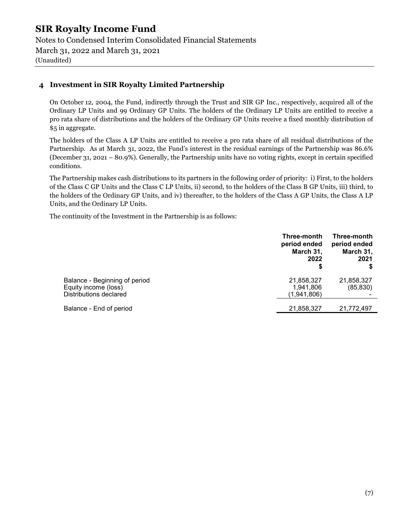Notes to Condensed Interim Consolidated Financial Statements March 31, 2022 and March 31, 2021 (Unaudited)

#### 4 Investment in SIR Royalty Limited Partnership

On October 12, 2004, the Fund, indirectly through the Trust and SIR GP Inc., respectively, acquired all of the Ordinary LP Units and 99 Ordinary GP Units. The holders of the Ordinary LP Units are entitled to receive a pro rata share of distributions and the holders of the Ordinary GP Units receive a fixed monthly distribution of \$5 in aggregate.

The holders of the Class A LP Units are entitled to receive a pro rata share of all residual distributions of the Partnership. As at March 31, 2022, the Fund's interest in the residual earnings of the Partnership was 86.6% (December 31, 2021 – 80.9%). Generally, the Partnership units have no voting rights, except in certain specified conditions.

The Partnership makes cash distributions to its partners in the following order of priority: i) First, to the holders of the Class C GP Units and the Class C LP Units, ii) second, to the holders of the Class B GP Units, iii) third, to the holders of the Ordinary GP Units, and iv) thereafter, to the holders of the Class A GP Units, the Class A LP Units, and the Ordinary LP Units.

The continuity of the Investment in the Partnership is as follows:

|                                                                                 | Three-month<br>period ended<br>March 31,<br>2022<br>\$ | Three-month<br>period ended<br>March 31,<br>2021 |
|---------------------------------------------------------------------------------|--------------------------------------------------------|--------------------------------------------------|
| Balance - Beginning of period<br>Equity income (loss)<br>Distributions declared | 21,858,327<br>1,941,806<br>(1,941,806)                 | 21,858,327<br>(85, 830)                          |
| Balance - End of period                                                         | 21,858,327                                             | 21,772,497                                       |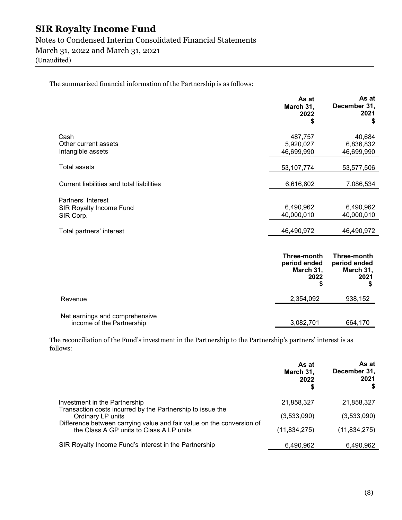Notes to Condensed Interim Consolidated Financial Statements March 31, 2022 and March 31, 2021

(Unaudited)

The summarized financial information of the Partnership is as follows:

|                                                            | As at<br>March 31,<br>2022<br>S    | As at<br>December 31,<br>2021<br>\$ |
|------------------------------------------------------------|------------------------------------|-------------------------------------|
| Cash<br>Other current assets<br>Intangible assets          | 487,757<br>5,920,027<br>46,699,990 | 40,684<br>6,836,832<br>46,699,990   |
| Total assets                                               | 53, 107, 774                       | 53,577,506                          |
| Current liabilities and total liabilities                  | 6,616,802                          | 7,086,534                           |
| Partners' Interest<br>SIR Royalty Income Fund<br>SIR Corp. | 6,490,962<br>40,000,010            | 6,490,962<br>40,000,010             |
| Total partners' interest                                   | 46,490,972                         | 46,490,972                          |

|                                                             | Three-month<br>period ended<br>March 31,<br>2022 | Three-month<br>period ended<br>March 31,<br>2021 |
|-------------------------------------------------------------|--------------------------------------------------|--------------------------------------------------|
| Revenue                                                     | 2,354,092                                        | 938,152                                          |
| Net earnings and comprehensive<br>income of the Partnership | 3,082,701                                        | 664,170                                          |

The reconciliation of the Fund's investment in the Partnership to the Partnership's partners' interest is as follows:

|                                                                                                                   | As at<br>March 31,<br>2022 | As at<br>December 31,<br>2021 |
|-------------------------------------------------------------------------------------------------------------------|----------------------------|-------------------------------|
| Investment in the Partnership                                                                                     | 21,858,327                 | 21,858,327                    |
| Transaction costs incurred by the Partnership to issue the<br>Ordinary LP units                                   | (3,533,090)                | (3,533,090)                   |
| Difference between carrying value and fair value on the conversion of<br>the Class A GP units to Class A LP units | (11.834.275)               | (11,834,275)                  |
| SIR Royalty Income Fund's interest in the Partnership                                                             | 6,490,962                  | 6,490,962                     |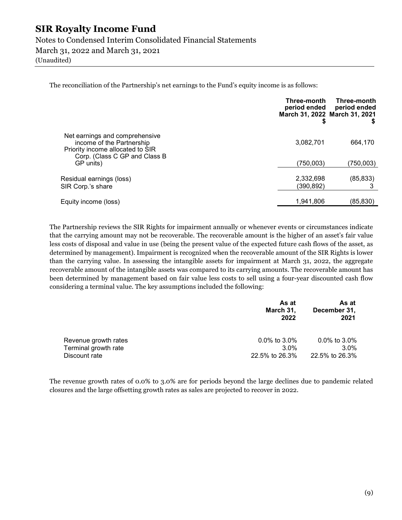Notes to Condensed Interim Consolidated Financial Statements March 31, 2022 and March 31, 2021

(Unaudited)

The reconciliation of the Partnership's net earnings to the Fund's equity income is as follows:

|                                                                                                                                  | Three-month<br>period ended<br>March 31, 2022 March 31, 2021 | Three-month<br>period ended |
|----------------------------------------------------------------------------------------------------------------------------------|--------------------------------------------------------------|-----------------------------|
| Net earnings and comprehensive<br>income of the Partnership<br>Priority income allocated to SIR<br>Corp. (Class C GP and Class B | 3,082,701                                                    | 664,170                     |
| GP units)                                                                                                                        | (750,003)                                                    | (750,003)                   |
| Residual earnings (loss)<br>SIR Corp.'s share                                                                                    | 2,332,698<br>(390, 892)                                      | (85, 833)                   |
| Equity income (loss)                                                                                                             | 1,941,806                                                    | (85,830)                    |

The Partnership reviews the SIR Rights for impairment annually or whenever events or circumstances indicate that the carrying amount may not be recoverable. The recoverable amount is the higher of an asset's fair value less costs of disposal and value in use (being the present value of the expected future cash flows of the asset, as determined by management). Impairment is recognized when the recoverable amount of the SIR Rights is lower than the carrying value. In assessing the intangible assets for impairment at March 31, 2022, the aggregate recoverable amount of the intangible assets was compared to its carrying amounts. The recoverable amount has been determined by management based on fair value less costs to sell using a four-year discounted cash flow considering a terminal value. The key assumptions included the following:

|                      | As at<br>March 31,<br>2022 | As at<br>December 31,<br>2021 |
|----------------------|----------------------------|-------------------------------|
| Revenue growth rates | $0.0\%$ to 3.0%            | $0.0\%$ to 3.0%               |
| Terminal growth rate | $3.0\%$                    | $3.0\%$                       |
| Discount rate        | 22.5% to 26.3%             | 22.5% to 26.3%                |

The revenue growth rates of 0.0% to 3.0% are for periods beyond the large declines due to pandemic related closures and the large offsetting growth rates as sales are projected to recover in 2022.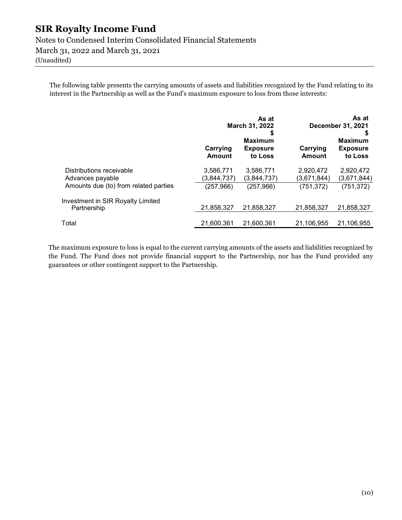Notes to Condensed Interim Consolidated Financial Statements March 31, 2022 and March 31, 2021

(Unaudited)

The following table presents the carrying amounts of assets and liabilities recognized by the Fund relating to its interest in the Partnership as well as the Fund's maximum exposure to loss from those interests:

|                                                  | As at<br>March 31, 2022<br>\$ |                                              | As at<br>December 31, 2021 |                                              |  |
|--------------------------------------------------|-------------------------------|----------------------------------------------|----------------------------|----------------------------------------------|--|
|                                                  | Carrying<br>Amount            | <b>Maximum</b><br><b>Exposure</b><br>to Loss | Carrying<br>Amount         | <b>Maximum</b><br><b>Exposure</b><br>to Loss |  |
| Distributions receivable<br>Advances payable     | 3,586,771<br>(3,844,737)      | 3,586,771<br>(3,844,737)                     | 2,920,472<br>(3,671,844)   | 2,920,472<br>(3,671,844)                     |  |
| Amounts due (to) from related parties            | (257, 966)                    | (257, 966)                                   | (751, 372)                 | (751, 372)                                   |  |
| Investment in SIR Royalty Limited<br>Partnership | 21,858,327                    | 21,858,327                                   | 21,858,327                 | 21,858,327                                   |  |
| Total                                            | 21,600,361                    | 21,600,361                                   | 21,106,955                 | 21,106,955                                   |  |

The maximum exposure to loss is equal to the current carrying amounts of the assets and liabilities recognized by the Fund. The Fund does not provide financial support to the Partnership, nor has the Fund provided any guarantees or other contingent support to the Partnership.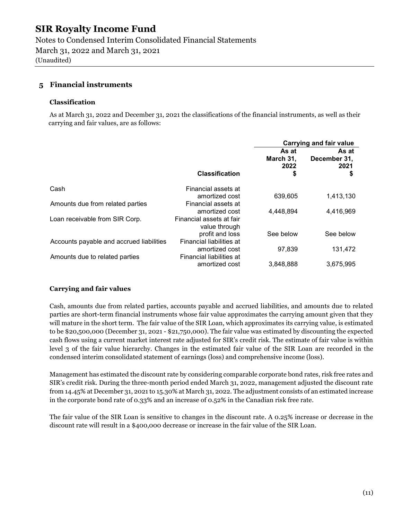Notes to Condensed Interim Consolidated Financial Statements March 31, 2022 and March 31, 2021 (Unaudited)

#### 5 Financial instruments

#### Classification

 As at March 31, 2022 and December 31, 2021 the classifications of the financial instruments, as well as their carrying and fair values, are as follows:

|                                          |                                           | Carrying and fair value          |                                     |
|------------------------------------------|-------------------------------------------|----------------------------------|-------------------------------------|
|                                          | <b>Classification</b>                     | As at<br>March 31,<br>2022<br>\$ | As at<br>December 31,<br>2021<br>\$ |
| Cash                                     | Financial assets at                       |                                  |                                     |
|                                          | amortized cost                            | 639,605                          | 1,413,130                           |
| Amounts due from related parties         | Financial assets at                       |                                  |                                     |
|                                          | amortized cost                            | 4,448,894                        | 4,416,969                           |
| Loan receivable from SIR Corp.           | Financial assets at fair<br>value through |                                  |                                     |
|                                          | profit and loss                           | See below                        | See below                           |
| Accounts payable and accrued liabilities | Financial liabilities at                  |                                  |                                     |
|                                          | amortized cost                            | 97.839                           | 131,472                             |
| Amounts due to related parties           | Financial liabilities at                  |                                  |                                     |
|                                          | amortized cost                            | 3,848,888                        | 3,675,995                           |

#### Carrying and fair values

Cash, amounts due from related parties, accounts payable and accrued liabilities, and amounts due to related parties are short-term financial instruments whose fair value approximates the carrying amount given that they will mature in the short term. The fair value of the SIR Loan, which approximates its carrying value, is estimated to be \$20,500,000 (December 31, 2021 - \$21,750,000). The fair value was estimated by discounting the expected cash flows using a current market interest rate adjusted for SIR's credit risk. The estimate of fair value is within level 3 of the fair value hierarchy. Changes in the estimated fair value of the SIR Loan are recorded in the condensed interim consolidated statement of earnings (loss) and comprehensive income (loss).

Management has estimated the discount rate by considering comparable corporate bond rates, risk free rates and SIR's credit risk. During the three-month period ended March 31, 2022, management adjusted the discount rate from 14.45% at December 31, 2021 to 15.30% at March 31, 2022. The adjustment consists of an estimated increase in the corporate bond rate of 0.33% and an increase of 0.52% in the Canadian risk free rate.

The fair value of the SIR Loan is sensitive to changes in the discount rate. A 0.25% increase or decrease in the discount rate will result in a \$400,000 decrease or increase in the fair value of the SIR Loan.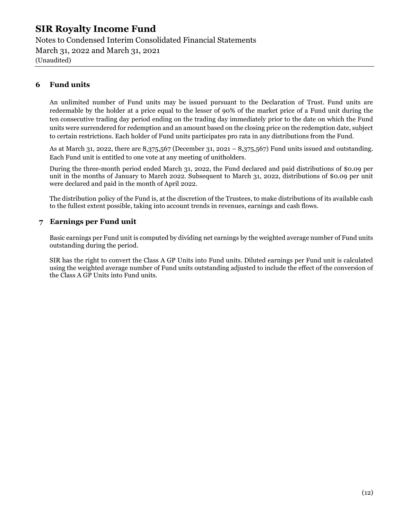Notes to Condensed Interim Consolidated Financial Statements March 31, 2022 and March 31, 2021 (Unaudited)

#### 6 Fund units

An unlimited number of Fund units may be issued pursuant to the Declaration of Trust. Fund units are redeemable by the holder at a price equal to the lesser of 90% of the market price of a Fund unit during the ten consecutive trading day period ending on the trading day immediately prior to the date on which the Fund units were surrendered for redemption and an amount based on the closing price on the redemption date, subject to certain restrictions. Each holder of Fund units participates pro rata in any distributions from the Fund.

As at March 31, 2022, there are  $8,375,567$  (December 31, 2021 –  $8,375,567$ ) Fund units issued and outstanding. Each Fund unit is entitled to one vote at any meeting of unitholders.

During the three-month period ended March 31, 2022, the Fund declared and paid distributions of \$0.09 per unit in the months of January to March 2022. Subsequent to March 31, 2022, distributions of \$0.09 per unit were declared and paid in the month of April 2022.

The distribution policy of the Fund is, at the discretion of the Trustees, to make distributions of its available cash to the fullest extent possible, taking into account trends in revenues, earnings and cash flows.

#### 7 Earnings per Fund unit

Basic earnings per Fund unit is computed by dividing net earnings by the weighted average number of Fund units outstanding during the period.

SIR has the right to convert the Class A GP Units into Fund units. Diluted earnings per Fund unit is calculated using the weighted average number of Fund units outstanding adjusted to include the effect of the conversion of the Class A GP Units into Fund units.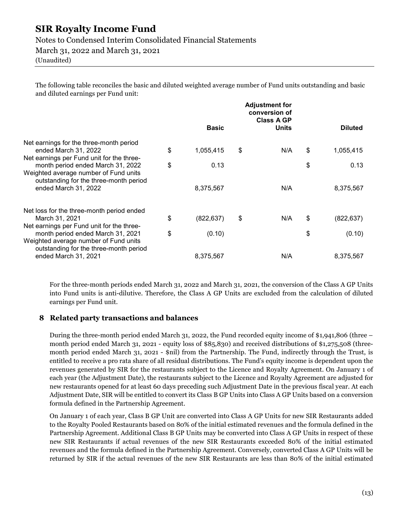Notes to Condensed Interim Consolidated Financial Statements

March 31, 2022 and March 31, 2021

(Unaudited)

The following table reconciles the basic and diluted weighted average number of Fund units outstanding and basic and diluted earnings per Fund unit:

|                                                                                                                         | <b>Adjustment for</b><br>conversion of<br><b>Class A GP</b> |              |    |              |                  |
|-------------------------------------------------------------------------------------------------------------------------|-------------------------------------------------------------|--------------|----|--------------|------------------|
|                                                                                                                         |                                                             | <b>Basic</b> |    | <b>Units</b> | <b>Diluted</b>   |
| Net earnings for the three-month period<br>ended March 31, 2022                                                         | \$                                                          | 1,055,415    | \$ | N/A          | \$<br>1,055,415  |
| Net earnings per Fund unit for the three-<br>month period ended March 31, 2022                                          | \$                                                          | 0.13         |    |              | \$<br>0.13       |
| Weighted average number of Fund units<br>outstanding for the three-month period<br>ended March 31, 2022                 |                                                             | 8,375,567    |    | N/A          | 8,375,567        |
| Net loss for the three-month period ended                                                                               |                                                             |              |    |              |                  |
| March 31, 2021                                                                                                          | \$                                                          | (822, 637)   | \$ | N/A          | \$<br>(822, 637) |
| Net earnings per Fund unit for the three-<br>month period ended March 31, 2021<br>Weighted average number of Fund units | \$                                                          | (0.10)       |    |              | \$<br>(0.10)     |
| outstanding for the three-month period<br>ended March 31, 2021                                                          |                                                             | 8,375,567    |    | N/A          | 8,375,567        |

For the three-month periods ended March 31, 2022 and March 31, 2021, the conversion of the Class A GP Units into Fund units is anti-dilutive. Therefore, the Class A GP Units are excluded from the calculation of diluted earnings per Fund unit.

#### 8 Related party transactions and balances

During the three-month period ended March 31, 2022, the Fund recorded equity income of \$1,941,806 (three – month period ended March 31, 2021 - equity loss of \$85,830) and received distributions of \$1,275,508 (threemonth period ended March 31, 2021 - \$nil) from the Partnership. The Fund, indirectly through the Trust, is entitled to receive a pro rata share of all residual distributions. The Fund's equity income is dependent upon the revenues generated by SIR for the restaurants subject to the Licence and Royalty Agreement. On January 1 of each year (the Adjustment Date), the restaurants subject to the Licence and Royalty Agreement are adjusted for new restaurants opened for at least 60 days preceding such Adjustment Date in the previous fiscal year. At each Adjustment Date, SIR will be entitled to convert its Class B GP Units into Class A GP Units based on a conversion formula defined in the Partnership Agreement.

On January 1 of each year, Class B GP Unit are converted into Class A GP Units for new SIR Restaurants added to the Royalty Pooled Restaurants based on 80% of the initial estimated revenues and the formula defined in the Partnership Agreement. Additional Class B GP Units may be converted into Class A GP Units in respect of these new SIR Restaurants if actual revenues of the new SIR Restaurants exceeded 80% of the initial estimated revenues and the formula defined in the Partnership Agreement. Conversely, converted Class A GP Units will be returned by SIR if the actual revenues of the new SIR Restaurants are less than 80% of the initial estimated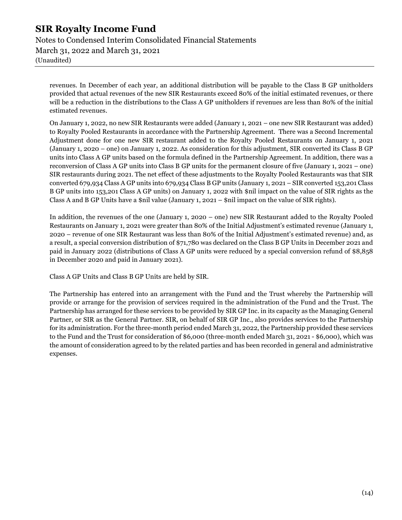Notes to Condensed Interim Consolidated Financial Statements March 31, 2022 and March 31, 2021 (Unaudited)

revenues. In December of each year, an additional distribution will be payable to the Class B GP unitholders provided that actual revenues of the new SIR Restaurants exceed 80% of the initial estimated revenues, or there will be a reduction in the distributions to the Class A GP unitholders if revenues are less than 80% of the initial estimated revenues.

On January 1, 2022, no new SIR Restaurants were added (January 1, 2021 – one new SIR Restaurant was added) to Royalty Pooled Restaurants in accordance with the Partnership Agreement. There was a Second Incremental Adjustment done for one new SIR restaurant added to the Royalty Pooled Restaurants on January 1, 2021 (January 1, 2020 – one) on January 1, 2022. As consideration for this adjustment, SIR converted its Class B GP units into Class A GP units based on the formula defined in the Partnership Agreement. In addition, there was a reconversion of Class A GP units into Class B GP units for the permanent closure of five (January 1, 2021 – one) SIR restaurants during 2021. The net effect of these adjustments to the Royalty Pooled Restaurants was that SIR converted 679,934 Class A GP units into 679,934 Class B GP units (January 1, 2021 – SIR converted 153,201 Class B GP units into 153,201 Class A GP units) on January 1, 2022 with \$nil impact on the value of SIR rights as the Class A and B GP Units have a \$nil value (January 1, 2021 – \$nil impact on the value of SIR rights).

In addition, the revenues of the one (January 1, 2020 – one) new SIR Restaurant added to the Royalty Pooled Restaurants on January 1, 2021 were greater than 80% of the Initial Adjustment's estimated revenue (January 1, 2020 – revenue of one SIR Restaurant was less than 80% of the Initial Adjustment's estimated revenue) and, as a result, a special conversion distribution of \$71,780 was declared on the Class B GP Units in December 2021 and paid in January 2022 (distributions of Class A GP units were reduced by a special conversion refund of \$8,858 in December 2020 and paid in January 2021).

Class A GP Units and Class B GP Units are held by SIR.

The Partnership has entered into an arrangement with the Fund and the Trust whereby the Partnership will provide or arrange for the provision of services required in the administration of the Fund and the Trust. The Partnership has arranged for these services to be provided by SIR GP Inc. in its capacity as the Managing General Partner, or SIR as the General Partner. SIR, on behalf of SIR GP Inc., also provides services to the Partnership for its administration. For the three-month period ended March 31, 2022, the Partnership provided these services to the Fund and the Trust for consideration of \$6,000 (three-month ended March 31, 2021 - \$6,000), which was the amount of consideration agreed to by the related parties and has been recorded in general and administrative expenses.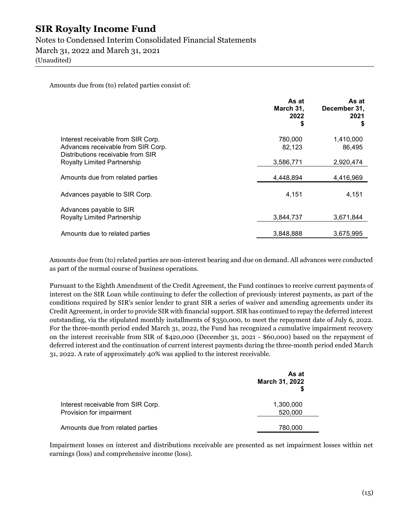#### Notes to Condensed Interim Consolidated Financial Statements

March 31, 2022 and March 31, 2021

(Unaudited)

Amounts due from (to) related parties consist of:

|                                                                         | As at<br>March 31,<br>2022<br>\$ | As at<br>December 31,<br>2021<br>S |
|-------------------------------------------------------------------------|----------------------------------|------------------------------------|
| Interest receivable from SIR Corp.                                      | 780,000                          | 1,410,000                          |
| Advances receivable from SIR Corp.<br>Distributions receivable from SIR | 82,123                           | 86,495                             |
| Royalty Limited Partnership                                             | 3,586,771                        | 2,920,474                          |
| Amounts due from related parties                                        | 4,448,894                        | 4,416,969                          |
| Advances payable to SIR Corp.                                           | 4,151                            | 4,151                              |
| Advances payable to SIR                                                 |                                  |                                    |
| <b>Royalty Limited Partnership</b>                                      | 3,844,737                        | 3,671,844                          |
| Amounts due to related parties                                          | 3,848,888                        | 3,675,995                          |

Amounts due from (to) related parties are non-interest bearing and due on demand. All advances were conducted as part of the normal course of business operations.

Pursuant to the Eighth Amendment of the Credit Agreement, the Fund continues to receive current payments of interest on the SIR Loan while continuing to defer the collection of previously interest payments, as part of the conditions required by SIR's senior lender to grant SIR a series of waiver and amending agreements under its Credit Agreement, in order to provide SIR with financial support. SIR has continued to repay the deferred interest outstanding, via the stipulated monthly installments of \$350,000, to meet the repayment date of July 6, 2022. For the three-month period ended March 31, 2022, the Fund has recognized a cumulative impairment recovery on the interest receivable from SIR of \$420,000 (December 31, 2021 - \$60,000) based on the repayment of deferred interest and the continuation of current interest payments during the three-month period ended March 31, 2022. A rate of approximately 40% was applied to the interest receivable.

|                                                                | As at<br>March 31, 2022 |
|----------------------------------------------------------------|-------------------------|
| Interest receivable from SIR Corp.<br>Provision for impairment | 1,300,000<br>520,000    |
| Amounts due from related parties                               | 780,000                 |

Impairment losses on interest and distributions receivable are presented as net impairment losses within net earnings (loss) and comprehensive income (loss).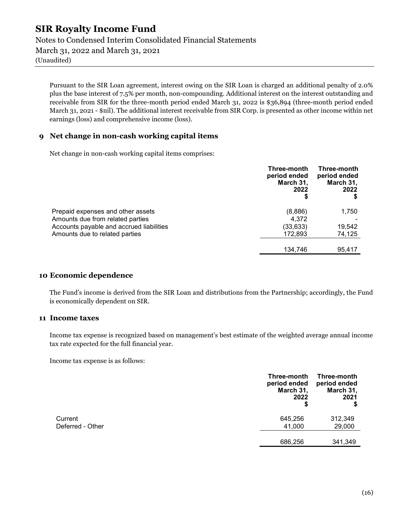Notes to Condensed Interim Consolidated Financial Statements March 31, 2022 and March 31, 2021 (Unaudited)

Pursuant to the SIR Loan agreement, interest owing on the SIR Loan is charged an additional penalty of 2.0% plus the base interest of 7.5% per month, non-compounding. Additional interest on the interest outstanding and receivable from SIR for the three-month period ended March 31, 2022 is \$36,894 (three-month period ended March 31, 2021 - \$nil). The additional interest receivable from SIR Corp. is presented as other income within net earnings (loss) and comprehensive income (loss).

#### 9 Net change in non-cash working capital items

Net change in non-cash working capital items comprises:

|                                          | Three-month<br>period ended<br>March 31,<br>2022<br>\$ | Three-month<br>period ended<br>March 31,<br>2022 |
|------------------------------------------|--------------------------------------------------------|--------------------------------------------------|
| Prepaid expenses and other assets        | (8,886)                                                | 1,750                                            |
| Amounts due from related parties         | 4.372                                                  |                                                  |
| Accounts payable and accrued liabilities | (33, 633)                                              | 19,542                                           |
| Amounts due to related parties           | 172,893                                                | 74,125                                           |
|                                          | 134,746                                                | 95,417                                           |

#### 10 Economic dependence

The Fund's income is derived from the SIR Loan and distributions from the Partnership; accordingly, the Fund is economically dependent on SIR.

#### 11 Income taxes

Income tax expense is recognized based on management's best estimate of the weighted average annual income tax rate expected for the full financial year.

Income tax expense is as follows:

|                  | Three-month<br>period ended<br>March 31,<br>2022<br>\$ | Three-month<br>period ended<br>March 31,<br>2021<br>\$ |
|------------------|--------------------------------------------------------|--------------------------------------------------------|
| Current          | 645,256                                                | 312,349                                                |
| Deferred - Other | 41,000                                                 | 29,000                                                 |
|                  | 686,256                                                | 341,349                                                |